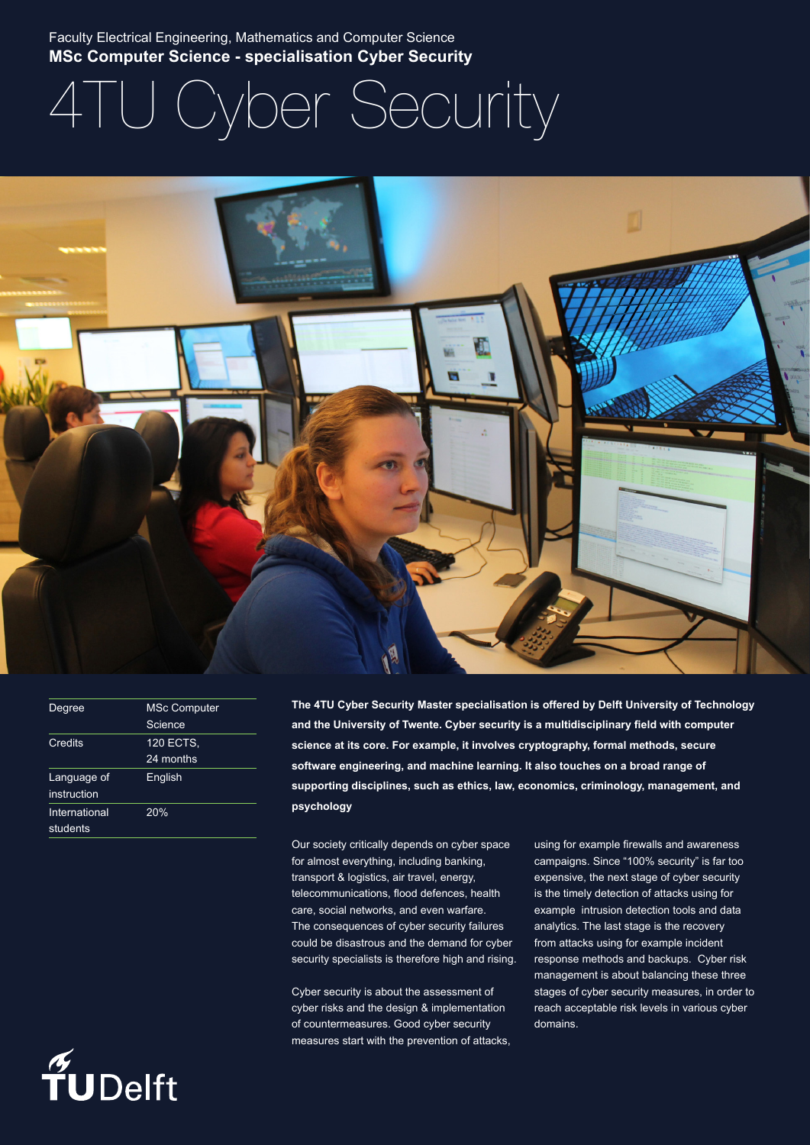Faculty Electrical Engineering, Mathematics and Computer Science **MSc Computer Science - specialisation Cyber Security**

# 4TU Cyber Security



| Degree         | <b>MSc Computer</b> |  |
|----------------|---------------------|--|
|                | Science             |  |
| <b>Credits</b> | <b>120 ECTS,</b>    |  |
|                | 24 months           |  |
| Language of    | English             |  |
| instruction    |                     |  |
| International  | 20%                 |  |
| students       |                     |  |

**The 4TU Cyber Security Master specialisation is offered by Delft University of Technology and the University of Twente. Cyber security is a multidisciplinary field with computer science at its core. For example, it involves cryptography, formal methods, secure software engineering, and machine learning. It also touches on a broad range of supporting disciplines, such as ethics, law, economics, criminology, management, and psychology**

Our society critically depends on cyber space for almost everything, including banking, transport & logistics, air travel, energy, telecommunications, flood defences, health care, social networks, and even warfare. The consequences of cyber security failures could be disastrous and the demand for cyber security specialists is therefore high and rising.

Cyber security is about the assessment of cyber risks and the design & implementation of countermeasures. Good cyber security measures start with the prevention of attacks, using for example firewalls and awareness campaigns. Since "100% security" is far too expensive, the next stage of cyber security is the timely detection of attacks using for example intrusion detection tools and data analytics. The last stage is the recovery from attacks using for example incident response methods and backups. Cyber risk management is about balancing these three stages of cyber security measures, in order to reach acceptable risk levels in various cyber domains.